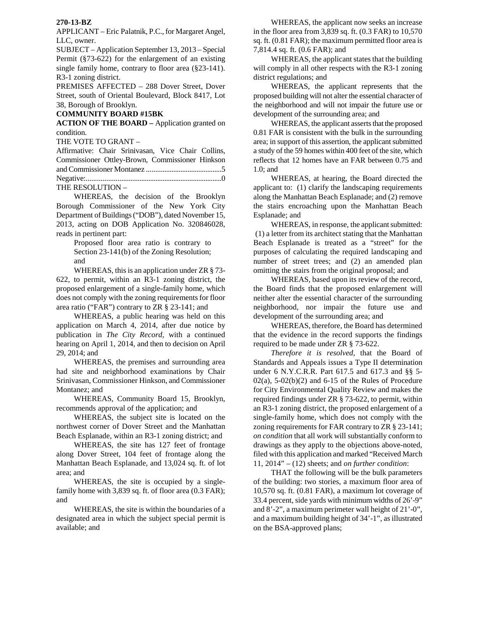## **270-13-BZ**

APPLICANT – Eric Palatnik, P.C., for Margaret Angel, LLC, owner.

SUBJECT – Application September 13, 2013 – Special Permit (§73-622) for the enlargement of an existing single family home, contrary to floor area (§23-141). R3-1 zoning district.

PREMISES AFFECTED – 288 Dover Street, Dover Street, south of Oriental Boulevard, Block 8417, Lot 38, Borough of Brooklyn.

## **COMMUNITY BOARD #15BK**

**ACTION OF THE BOARD –** Application granted on condition.

THE VOTE TO GRANT –

| Affirmative: Chair Srinivasan, Vice Chair Collins, |  |  |  |
|----------------------------------------------------|--|--|--|
| Commissioner Ottley-Brown, Commissioner Hinkson    |  |  |  |
|                                                    |  |  |  |
|                                                    |  |  |  |
| THE RESOLUTION -                                   |  |  |  |

 WHEREAS, the decision of the Brooklyn Borough Commissioner of the New York City Department of Buildings ("DOB"), dated November 15, 2013, acting on DOB Application No. 320846028, reads in pertinent part:

> Proposed floor area ratio is contrary to Section 23-141(b) of the Zoning Resolution; and

WHEREAS, this is an application under ZR § 73- 622, to permit, within an R3-1 zoning district, the proposed enlargement of a single-family home, which does not comply with the zoning requirements for floor area ratio ("FAR") contrary to ZR § 23-141; and

 WHEREAS, a public hearing was held on this application on March 4, 2014, after due notice by publication in *The City Record*, with a continued hearing on April 1, 2014, and then to decision on April 29, 2014; and

 WHEREAS, the premises and surrounding area had site and neighborhood examinations by Chair Srinivasan, Commissioner Hinkson, and Commissioner Montanez; and

 WHEREAS, Community Board 15, Brooklyn, recommends approval of the application; and

WHEREAS, the subject site is located on the northwest corner of Dover Street and the Manhattan Beach Esplanade, within an R3-1 zoning district; and

WHEREAS, the site has 127 feet of frontage along Dover Street, 104 feet of frontage along the Manhattan Beach Esplanade, and 13,024 sq. ft. of lot area; and

WHEREAS, the site is occupied by a singlefamily home with 3,839 sq. ft. of floor area  $(0.3 \text{ FAR})$ ; and

WHEREAS, the site is within the boundaries of a designated area in which the subject special permit is available; and

WHEREAS, the applicant now seeks an increase in the floor area from 3,839 sq. ft. (0.3 FAR) to 10,570 sq. ft. (0.81 FAR); the maximum permitted floor area is 7,814.4 sq. ft. (0.6 FAR); and

WHEREAS, the applicant states that the building will comply in all other respects with the R3-1 zoning district regulations; and

WHEREAS, the applicant represents that the proposed building will not alter the essential character of the neighborhood and will not impair the future use or development of the surrounding area; and

WHEREAS, the applicant asserts that the proposed 0.81 FAR is consistent with the bulk in the surrounding area; in support of this assertion, the applicant submitted a study of the 59 homes within 400 feet of the site, which reflects that 12 homes have an FAR between 0.75 and 1.0; and

WHEREAS, at hearing, the Board directed the applicant to: (1) clarify the landscaping requirements along the Manhattan Beach Esplanade; and (2) remove the stairs encroaching upon the Manhattan Beach Esplanade; and

WHEREAS, in response, the applicant submitted: (1) a letter from its architect stating that the Manhattan Beach Esplanade is treated as a "street" for the purposes of calculating the required landscaping and number of street trees; and (2) an amended plan omitting the stairs from the original proposal; and

WHEREAS, based upon its review of the record, the Board finds that the proposed enlargement will neither alter the essential character of the surrounding neighborhood, nor impair the future use and development of the surrounding area; and

WHEREAS, therefore, the Board has determined that the evidence in the record supports the findings required to be made under ZR § 73-622.

*Therefore it is resolved,* that the Board of Standards and Appeals issues a Type II determination under 6 N.Y.C.R.R. Part 617.5 and 617.3 and §§ 5-  $02(a)$ ,  $5-02(b)(2)$  and  $6-15$  of the Rules of Procedure for City Environmental Quality Review and makes the required findings under ZR § 73-622, to permit, within an R3-1 zoning district, the proposed enlargement of a single-family home, which does not comply with the zoning requirements for FAR contrary to ZR § 23-141; *on condition* that all work will substantially conform to drawings as they apply to the objections above-noted, filed with this application and marked "Received March 11, 2014" – (12) sheets; and *on further condition*:

THAT the following will be the bulk parameters of the building: two stories, a maximum floor area of 10,570 sq. ft. (0.81 FAR), a maximum lot coverage of 33.4 percent, side yards with minimum widths of 26'-9" and 8'-2", a maximum perimeter wall height of 21'-0", and a maximum building height of 34'-1", as illustrated on the BSA-approved plans;